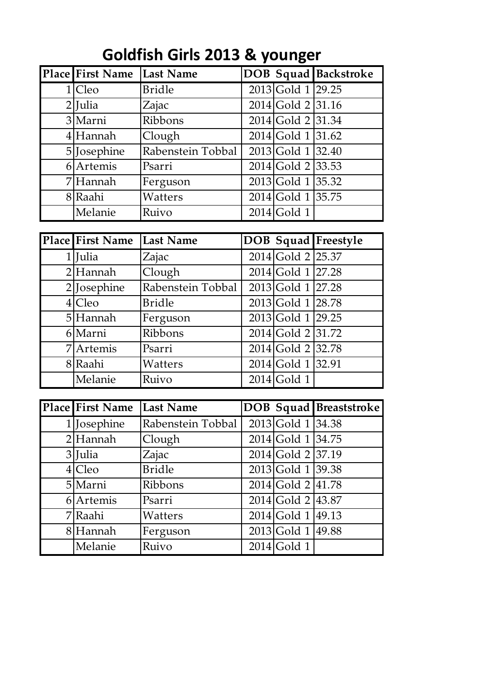| Place First Name Last Name |                   |                     | <b>DOB</b> Squad Backstroke |
|----------------------------|-------------------|---------------------|-----------------------------|
| $1 C$ leo                  | <b>Bridle</b>     | 2013 Gold 1 29.25   |                             |
| $2$ [Julia                 | Zajac             | $2014$ Gold 2 31.16 |                             |
| 3 Marni                    | Ribbons           | 2014 Gold 2 31.34   |                             |
| 4 Hannah                   | Clough            | 2014 Gold 1 31.62   |                             |
| 5 Josephine                | Rabenstein Tobbal | $2013$ Gold 1 32.40 |                             |
| 6 Artemis                  | Psarri            | $2014$ Gold 2 33.53 |                             |
| 7 Hannah                   | Ferguson          | $2013$ Gold 1 35.32 |                             |
| 8 Raahi                    | Watters           | 2014 Gold 1 35.75   |                             |
| Melanie                    | Ruivo             | $2014$ Gold 1       |                             |

| <b>Place First Name</b> | Last Name         |                     | DOB Squad Freestyle |
|-------------------------|-------------------|---------------------|---------------------|
| $1$  Julia              | Zajac             | 2014 Gold 2 25.37   |                     |
| $2$ Hannah              | Clough            | $2014$ Gold 1 27.28 |                     |
| $2$ Josephine           | Rabenstein Tobbal | $2013$ Gold 1 27.28 |                     |
| $4 C $ eo               | <b>Bridle</b>     | 2013 Gold 1 28.78   |                     |
| 5 Hannah                | Ferguson          | 2013 Gold 1 29.25   |                     |
| 6 Marni                 | Ribbons           | 2014 Gold 2 31.72   |                     |
| 7 Artemis               | Psarri            | $2014$ Gold 2 32.78 |                     |
| 8 Raahi                 | Watters           | $2014$ Gold 1 32.91 |                     |
| Melanie                 | Ruivo             | $2014$ Gold 1       |                     |

| <b>Place First Name</b> | Last Name         |                     | DOB Squad Breaststroke |
|-------------------------|-------------------|---------------------|------------------------|
| $1$  Josephine          | Rabenstein Tobbal | $2013$ Gold 1 34.38 |                        |
| $2$ Hannah              | Clough            | $2014$ Gold 1 34.75 |                        |
| 3 Julia                 | Zajac             | 2014 Gold 2 37.19   |                        |
| $4 C $ eo               | <b>Bridle</b>     | $2013$ Gold 1 39.38 |                        |
| 5 Marni                 | Ribbons           | $2014$ Gold 2 41.78 |                        |
| 6 Artemis               | Psarri            | $2014$ Gold 2 43.87 |                        |
| 7 Raahi                 | Watters           | $2014$ Gold 1 49.13 |                        |
| 8 Hannah                | Ferguson          | 2013 Gold 1 49.88   |                        |
| Melanie                 | Ruivo             | $2014$ Gold 1       |                        |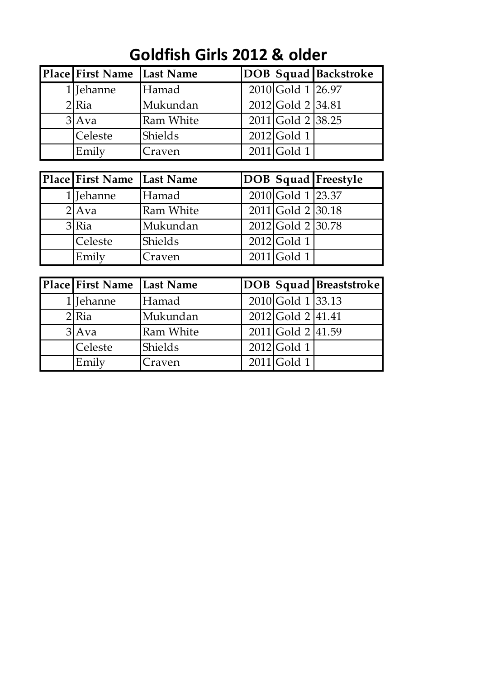## **Goldfish Girls 2012 & older**

| Place First Name   Last Name |                  |                     | <b>DOB</b> Squad Backstroke |
|------------------------------|------------------|---------------------|-----------------------------|
| 1 Jehanne                    | Hamad            | $2010$ Gold 1 26.97 |                             |
| $2$ Ria                      | Mukundan         | $2012$ Gold 2 34.81 |                             |
| 3 Ava                        | <b>Ram White</b> | $2011$ Gold 2 38.25 |                             |
| Celeste                      | Shields          | $2012$ Gold 1       |                             |
| Emily                        | Craven           | $2011$ Gold 1       |                             |

| Place First Name   Last Name |                  |                     | <b>DOB</b> Squad Freestyle |
|------------------------------|------------------|---------------------|----------------------------|
| $1$  Jehanne                 | Hamad            | 2010 Gold 1 23.37   |                            |
| $2$ Ava                      | <b>Ram White</b> | $2011$ Gold 2 30.18 |                            |
| $3$ Ria                      | Mukundan         | $2012$ Gold 2 30.78 |                            |
| <b>ICeleste</b>              | Shields          | $2012$ Gold 1       |                            |
| Emily                        | Craven           | $2011$ Gold 1       |                            |

| Place First Name | Last Name        |                     | DOB Squad Breaststroke |
|------------------|------------------|---------------------|------------------------|
| 1 Jehanne        | Hamad            | $2010$ Gold 1 33.13 |                        |
| $2$ Ria          | Mukundan         | $2012$ Gold 2 41.41 |                        |
| 3 Ava            | <b>Ram White</b> | $2011$ Gold 2 41.59 |                        |
| Celeste          | Shields          | $2012$ Gold 1       |                        |
| Emily            | Craven           | $2011$ Gold 1       |                        |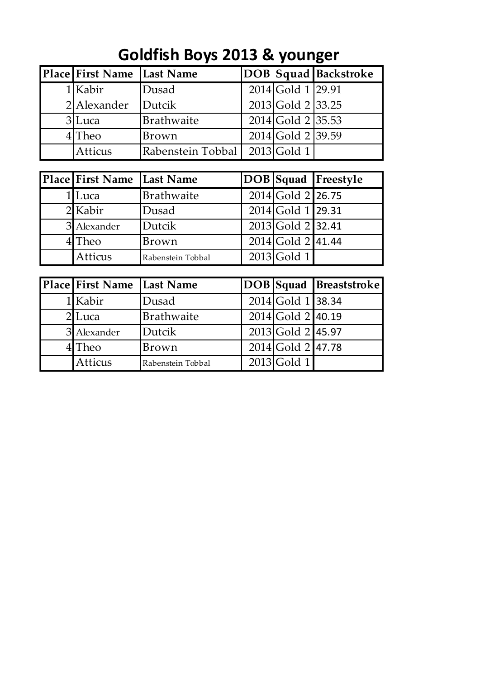## **Goldfish Boys 2013 & younger**

| Place First Name   Last Name |                                 |                     | <b>DOB</b> Squad Backstroke |
|------------------------------|---------------------------------|---------------------|-----------------------------|
| 1 Kabir                      | Dusad                           | $2014$ Gold 1 29.91 |                             |
| $2$  Alexander               | Dutcik                          | $2013$ Gold 2 33.25 |                             |
| $3$ Luca                     | Brathwaite                      | $2014$ Gold 2 35.53 |                             |
| $4$ Theo                     | Brown                           | 2014 Gold 2 39.59   |                             |
| Atticus                      | Rabenstein Tobbal   2013 Gold 1 |                     |                             |

| Place First Name Last Name |                   |                     | <b>DOB</b> Squad Freestyle |
|----------------------------|-------------------|---------------------|----------------------------|
| 1 Luca                     | Brathwaite        | 2014 Gold 2 26.75   |                            |
| 2 Kabir                    | Dusad             | 2014 Gold 1 29.31   |                            |
| 3 Alexander                | Dutcik            | 2013 Gold 2 32.41   |                            |
| $4$ Theo                   | Brown             | $2014$ Gold 2 41.44 |                            |
| Atticus                    | Rabenstein Tobbal | $2013$ Gold 1       |                            |

| Place First Name | Last Name         |                     | <b>DOB</b> Squad <b>Breaststroke</b> |
|------------------|-------------------|---------------------|--------------------------------------|
| 1 Kabir          | Dusad             | 2014 Gold 1 38.34   |                                      |
| $2$ Luca         | Brathwaite        | $2014$ Gold 2 40.19 |                                      |
| 3 Alexander      | Dutcik            | 2013 Gold 2 45.97   |                                      |
| $4$ Theo         | Brown             | 2014 Gold 2 47.78   |                                      |
| Atticus          | Rabenstein Tobbal | $2013$ Gold 1       |                                      |